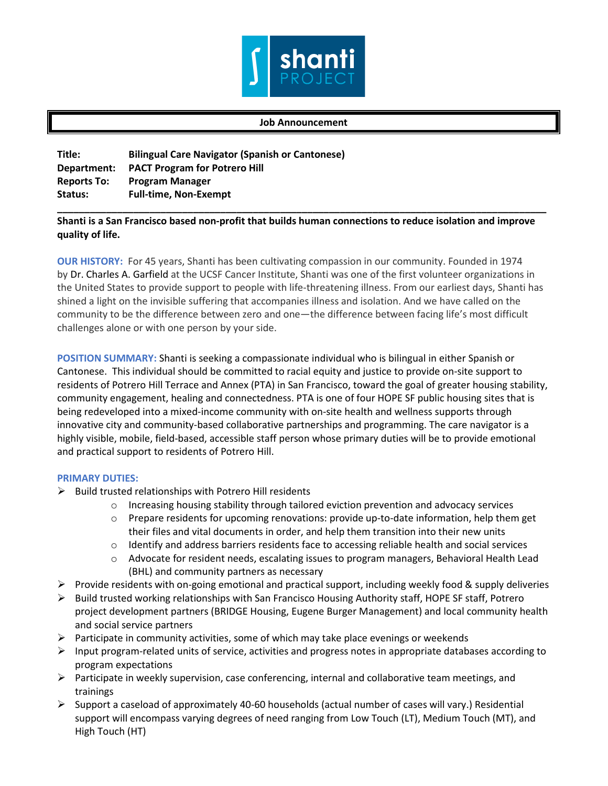

## **Job Announcement**

| <b>Bilingual Care Navigator (Spanish or Cantonese)</b> |
|--------------------------------------------------------|
| <b>PACT Program for Potrero Hill</b>                   |
| <b>Program Manager</b>                                 |
| <b>Full-time, Non-Exempt</b>                           |
|                                                        |

## **Shanti is a San Francisco based non-profit that builds human connections to reduce isolation and improve quality of life.**

**\_\_\_\_\_\_\_\_\_\_\_\_\_\_\_\_\_\_\_\_\_\_\_\_\_\_\_\_\_\_\_\_\_\_\_\_\_\_\_\_\_\_\_\_\_\_\_\_\_\_\_\_\_\_\_\_\_\_\_\_\_\_\_\_\_\_\_\_\_\_\_\_\_\_\_\_\_\_\_\_\_\_\_\_\_\_\_\_\_\_**

**OUR HISTORY:** For 45 years, Shanti has been cultivating compassion in our community. Founded in 1974 by Dr. Charles A. Garfield at the UCSF Cancer Institute, Shanti was one of the first volunteer organizations in the United States to provide support to people with life-threatening illness. From our earliest days, Shanti has shined a light on the invisible suffering that accompanies illness and isolation. And we have called on the community to be the difference between zero and one—the difference between facing life's most difficult challenges alone or with one person by your side.

**POSITION SUMMARY:** Shanti is seeking a compassionate individual who is bilingual in either Spanish or Cantonese. This individual should be committed to racial equity and justice to provide on-site support to residents of Potrero Hill Terrace and Annex (PTA) in San Francisco, toward the goal of greater housing stability, community engagement, healing and connectedness. PTA is one of four HOPE SF public housing sites that is being redeveloped into a mixed-income community with on-site health and wellness supports through innovative city and community-based collaborative partnerships and programming. The care navigator is a highly visible, mobile, field-based, accessible staff person whose primary duties will be to provide emotional and practical support to residents of Potrero Hill.

## **PRIMARY DUTIES:**

- $\triangleright$  Build trusted relationships with Potrero Hill residents
	- $\circ$  Increasing housing stability through tailored eviction prevention and advocacy services
	- o Prepare residents for upcoming renovations: provide up-to-date information, help them get their files and vital documents in order, and help them transition into their new units
	- $\circ$  Identify and address barriers residents face to accessing reliable health and social services
	- o Advocate for resident needs, escalating issues to program managers, Behavioral Health Lead (BHL) and community partners as necessary
- $\triangleright$  Provide residents with on-going emotional and practical support, including weekly food & supply deliveries
- $\triangleright$  Build trusted working relationships with San Francisco Housing Authority staff, HOPE SF staff, Potrero project development partners (BRIDGE Housing, Eugene Burger Management) and local community health and social service partners
- $\triangleright$  Participate in community activities, some of which may take place evenings or weekends
- $\triangleright$  Input program-related units of service, activities and progress notes in appropriate databases according to program expectations
- $\triangleright$  Participate in weekly supervision, case conferencing, internal and collaborative team meetings, and trainings
- $\triangleright$  Support a caseload of approximately 40-60 households (actual number of cases will vary.) Residential support will encompass varying degrees of need ranging from Low Touch (LT), Medium Touch (MT), and High Touch (HT)